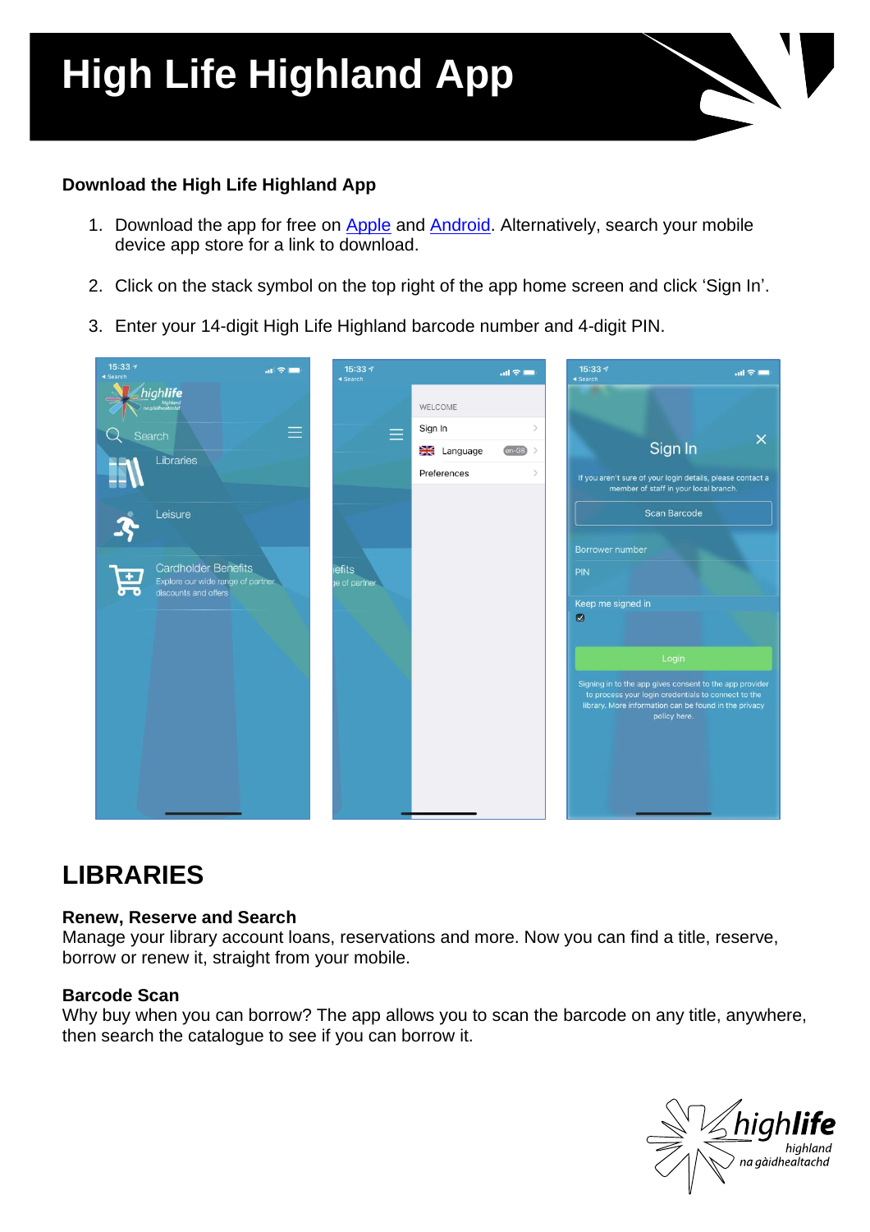# **High Life Highland App**

### **Download the High Life Highland App**

- 1. Download the app for free on **[Apple](https://itunes.apple.com/gb/app/highland-libraries-app/id641058803?mt=8)** and **Android**. Alternatively, search your mobile device app store for a link to download.
- 2. Click on the stack symbol on the top right of the app home screen and click 'Sign In'.
- 3. Enter your 14-digit High Life Highland barcode number and 4-digit PIN.

| $15:33 +$<br>$\mathbf{m} \in \mathbb{R}$<br>◀ Search                                                   | 15:33 +<br>◀ Search            |                    | $m \approx 1$     | 15:337<br>◀ Search             | $m \approx m$                                                                                                                                                                           |
|--------------------------------------------------------------------------------------------------------|--------------------------------|--------------------|-------------------|--------------------------------|-----------------------------------------------------------------------------------------------------------------------------------------------------------------------------------------|
| highlife<br>na gaidhealtachd                                                                           |                                | WELCOME            |                   |                                |                                                                                                                                                                                         |
| Search                                                                                                 | $\equiv$<br>Ξ                  | Sign In            |                   |                                | $\times$                                                                                                                                                                                |
| Libraries                                                                                              |                                | <b>XX</b> Language | $\overline{en-B}$ |                                | Sign In                                                                                                                                                                                 |
|                                                                                                        |                                | Preferences        | $\rightarrow$     |                                | If you aren't sure of your login details, please contact a<br>member of staff in your local branch.                                                                                     |
| Leisure                                                                                                |                                |                    |                   |                                | <b>Scan Barcode</b>                                                                                                                                                                     |
|                                                                                                        |                                |                    |                   | Borrower number                |                                                                                                                                                                                         |
| <b>Cardholder Benefits</b><br>$\pm$<br>Explore our wide range of partner<br>ಕಾ<br>discounts and offers | <b>iefits</b><br>ye of partner |                    |                   | PIN                            |                                                                                                                                                                                         |
|                                                                                                        |                                |                    |                   | Keep me signed in<br>$\bullet$ |                                                                                                                                                                                         |
|                                                                                                        |                                |                    |                   |                                |                                                                                                                                                                                         |
|                                                                                                        |                                |                    |                   |                                | Login                                                                                                                                                                                   |
|                                                                                                        |                                |                    |                   |                                | Signing in to the app gives consent to the app provider<br>to process your login credentials to connect to the<br>library. More information can be found in the privacy<br>policy here. |
|                                                                                                        |                                |                    |                   |                                |                                                                                                                                                                                         |
|                                                                                                        |                                |                    |                   |                                |                                                                                                                                                                                         |

### **LIBRARIES**

### **Renew, Reserve and Search**

Manage your library account loans, reservations and more. Now you can find a title, reserve, borrow or renew it, straight from your mobile.

### **Barcode Scan**

Why buy when you can borrow? The app allows you to scan the barcode on any title, anywhere, then search the catalogue to see if you can borrow it.

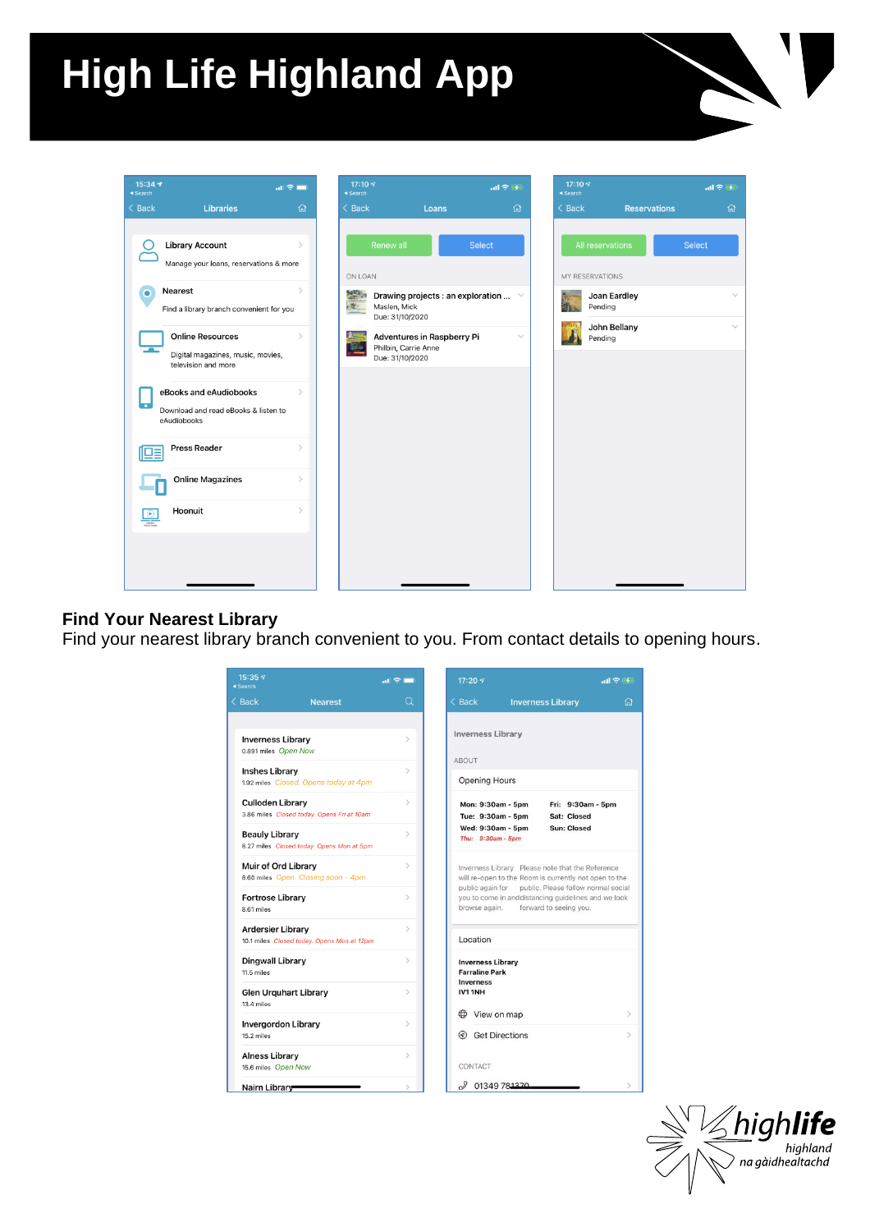# **High Life Highland App**



### **Find Your Nearest Library**

Find your nearest library branch convenient to you. From contact details to opening hours.

| $15:35 - 7$<br>◀ Search                          |                                            | $\mathbf{u}$ $\mathbf{z}$ $\mathbf{r}$ |
|--------------------------------------------------|--------------------------------------------|----------------------------------------|
| $\leq$ Back                                      | <b>Nearest</b>                             | Q                                      |
| <b>Inverness Library</b><br>0.891 miles Open Now |                                            | $\mathcal{E}$                          |
| <b>Inshes Library</b>                            | 1.92 miles Closed. Opens today at 4pm      | $\mathcal{P}$                          |
| <b>Culloden Library</b>                          | 3.86 miles Closed today. Opens Fri at 10am | $\mathcal{P}$                          |
| <b>Beauly Library</b>                            | 8.27 miles Closed today. Opens Mon at 5pm  | $\mathcal{P}$                          |
| Muir of Ord Library                              | 8.60 miles Open. Closing soon - 4pm        | $\mathcal{P}$                          |
| <b>Fortrose Library</b><br>8.61 miles            |                                            | $\mathcal{P}$                          |
| <b>Ardersier Library</b>                         | 10.1 miles Closed today. Opens Mon at 12pm | $\mathcal{P}$                          |
| Dingwall Library<br>11.5 miles                   |                                            | $\mathcal{P}$                          |
| <b>Glen Urquhart Library</b><br>13.4 miles       |                                            | $\mathcal{P}$                          |
| <b>Invergordon Library</b><br>15.2 miles         |                                            | $\mathcal{E}$                          |
| <b>Alness Library</b><br>15.6 miles Open Now     |                                            | $\mathcal{P}$                          |
| Nairn Library                                    |                                            |                                        |